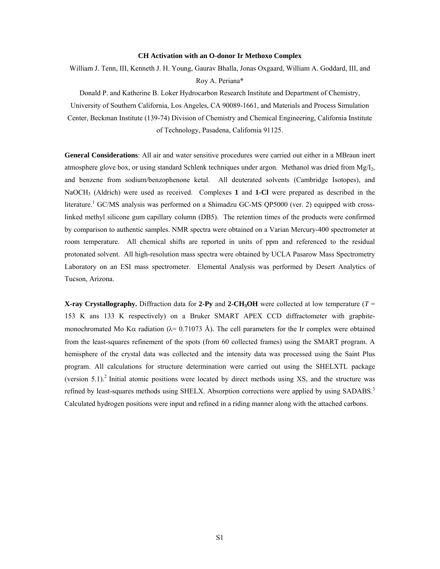## **CH Activation with an O-donor Ir Methoxo Complex**

William J. Tenn, III, Kenneth J. H. Young, Gaurav Bhalla, Jonas Oxgaard, William A. Goddard, III, and Roy A. Periana\*

Donald P. and Katherine B. Loker Hydrocarbon Research Institute and Department of Chemistry, University of Southern California, Los Angeles, CA 90089-1661, and Materials and Process Simulation Center, Beckman Institute (139-74) Division of Chemistry and Chemical Engineering, California Institute of Technology, Pasadena, California 91125.

**General Considerations**: All air and water sensitive procedures were carried out either in a MBraun inert atmosphere glove box, or using standard Schlenk techniques under argon. Methanol was dried from  $Mg/I_2$ , and benzene from sodium/benzophenone ketal. All deuterated solvents (Cambridge Isotopes), and NaOCH3 (Aldrich) were used as received. Complexes **1** and **1-Cl** were prepared as described in the literature.<sup>1</sup> GC/MS analysis was performed on a Shimadzu GC-MS QP5000 (ver. 2) equipped with crosslinked methyl silicone gum capillary column (DB5). The retention times of the products were confirmed by comparison to authentic samples. NMR spectra were obtained on a Varian Mercury-400 spectrometer at room temperature. All chemical shifts are reported in units of ppm and referenced to the residual protonated solvent. All high-resolution mass spectra were obtained by UCLA Pasarow Mass Spectrometry Laboratory on an ESI mass spectrometer. Elemental Analysis was performed by Desert Analytics of Tucson, Arizona.

**X-ray Crystallography.** Diffraction data for 2-Py and 2-CH<sub>3</sub>OH were collected at low temperature ( $T =$ 153 K ans 133 K respectively) on a Bruker SMART APEX CCD diffractometer with graphitemonochromated Mo K $\alpha$  radiation ( $\lambda$ = 0.71073 Å). The cell parameters for the Ir complex were obtained from the least-squares refinement of the spots (from 60 collected frames) using the SMART program. A hemisphere of the crystal data was collected and the intensity data was processed using the Saint Plus program. All calculations for structure determination were carried out using the SHELXTL package (version  $5.1$ ).<sup>2</sup> Initial atomic positions were located by direct methods using XS, and the structure was refined by least-squares methods using SHELX. Absorption corrections were applied by using SADABS.<sup>3</sup> Calculated hydrogen positions were input and refined in a riding manner along with the attached carbons.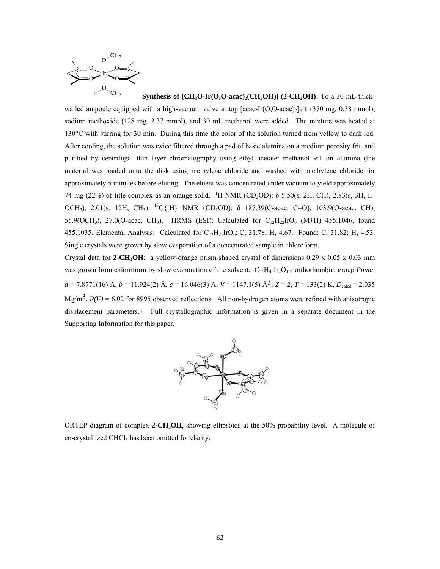

**Synthesis of**  $[CH_3O-Ir(O,O-acac)/(CH_3OH)]$  (2- $CH_3OH$ ): To a 30 mL thickwalled ampoule equipped with a high-vacuum valve at top  $[acc-Ir(O,O-acac)<sub>2</sub>]$ , 1 (370 mg, 0.38 mmol), sodium methoxide (128 mg, 2.37 mmol), and 30 mL methanol were added. The mixture was heated at 130°C with stirring for 30 min. During this time the color of the solution turned from yellow to dark red. After cooling, the solution was twice filtered through a pad of basic alumina on a medium porosity frit, and purified by centrifugal thin layer chromatography using ethyl acetate: methanol 9:1 on alumina (the material was loaded onto the disk using methylene chloride and washed with methylene chloride for approximately 5 minutes before eluting. The eluent was concentrated under vacuum to yield approximately 74 mg (22%) of title complex as an orange solid. <sup>1</sup>H NMR (CD<sub>3</sub>OD):  $\delta$  5.50(s, 2H, CH), 2.83(s, 3H, Ir-OCH<sub>3</sub>), 2.01(s, 12H, CH<sub>3</sub>). <sup>13</sup>C{<sup>1</sup>H} NMR (CD<sub>3</sub>OD): δ 187.39(C-acac, C=O), 103.9(O-acac, CH), 55.9(OCH<sub>3</sub>), 27.0(O-acac, CH<sub>3</sub>). HRMS (ESI): Calculated for  $C_{12}H_{22}IrO_6$  (M+H) 455.1046, found 455.1035. Elemental Analysis: Calculated for  $C_{12}H_{21}IrO_6$ : C, 31.78; H, 4.67. Found: C, 31.82; H, 4.53. Single crystals were grown by slow evaporation of a concentrated sample in chloroform.

Crystal data for **2-CH<sub>3</sub>OH**: a yellow-orange prism-shaped crystal of dimensions  $0.29 \times 0.05 \times 0.03$  mm was grown from chloroform by slow evaporation of the solvent.  $C_{24}H_{40}Ir_2O_{12}$ : orthorhombic, group *Pnma*,  $a = 7.8771(16)$  Å,  $b = 11.924(2)$  Å,  $c = 16.046(3)$  Å,  $V = 1147.1(5)$  Å<sup>3</sup>,  $Z = 2$ ,  $T = 133(2)$  K,  $D_{\text{calc}} = 2.035$ Mg/m<sup>3</sup>,  $R(F) = 6.02$  for 8995 observed reflections. All non-hydrogen atoms were refined with anisotropic displacement parameters.+ Full crystallographic information is given in a separate document in the Supporting Information for this paper.



ORTEP diagram of complex 2-CH<sub>3</sub>OH, showing ellipsoids at the 50% probability level. A molecule of co-crystallized CHCl<sub>3</sub> has been omitted for clarity.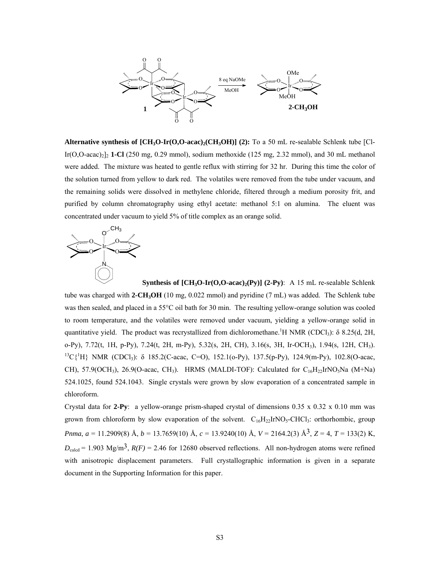

**Alternative synthesis of**  $[\text{CH}_3\text{O-Ir}(\text{O},\text{O-}acac)_2(\text{CH}_3\text{OH})]$  **(2):** To a 50 mL re-sealable Schlenk tube [Cl-Ir(O,O-acac)2]2 **1-Cl** (250 mg, 0.29 mmol), sodium methoxide (125 mg, 2.32 mmol), and 30 mL methanol were added. The mixture was heated to gentle reflux with stirring for 32 hr. During this time the color of the solution turned from yellow to dark red. The volatiles were removed from the tube under vacuum, and the remaining solids were dissolved in methylene chloride, filtered through a medium porosity frit, and purified by column chromatography using ethyl acetate: methanol 5:1 on alumina. The eluent was concentrated under vacuum to yield 5% of title complex as an orange solid.



**Synthesis of**  $[CH_3O-Ir(O, O-acac)/(Py)]$  **(2-Py):** A 15 mL re-sealable Schlenk tube was charged with **2-CH3OH** (10 mg, 0.022 mmol) and pyridine (7 mL) was added. The Schlenk tube was then sealed, and placed in a 55°C oil bath for 30 min. The resulting yellow-orange solution was cooled to room temperature, and the volatiles were removed under vacuum, yielding a yellow-orange solid in quantitative yield. The product was recrystallized from dichloromethane.<sup>1</sup>H NMR (CDCl<sub>3</sub>):  $\delta$  8.25(d, 2H, o-Py), 7.72(t, 1H, p-Py), 7.24(t, 2H, m-Py), 5.32(s, 2H, CH), 3.16(s, 3H, Ir-OCH3), 1.94(s, 12H, CH3). <sup>13</sup>C{<sup>1</sup>H} NMR (CDCl<sub>3</sub>): δ 185.2(C-acac, C=O), 152.1(o-Py), 137.5(p-Py), 124.9(m-Py), 102.8(O-acac, CH), 57.9(OCH<sub>3</sub>), 26.9(O-acac, CH<sub>3</sub>). HRMS (MALDI-TOF): Calculated for C<sub>16</sub>H<sub>22</sub>IrNO<sub>5</sub>Na (M+Na) 524.1025, found 524.1043. Single crystals were grown by slow evaporation of a concentrated sample in chloroform.

Crystal data for **2-Py**: a yellow-orange prism-shaped crystal of dimensions 0.35 x 0.32 x 0.10 mm was grown from chloroform by slow evaporation of the solvent.  $C_{16}H_{22}IrNO<sub>5</sub>-CHCl<sub>3</sub>$ : orthorhombic, group *Pnma*, *a* = 11.2909(8) Å, *b* = 13.7659(10) Å, *c* = 13.9240(10) Å, *V* = 2164.2(3) Å3, *Z* = 4, *T* = 133(2) K,  $D_{\text{calcd}} = 1.903 \text{ Mg/m}^3$ ,  $R(F) = 2.46$  for 12680 observed reflections. All non-hydrogen atoms were refined with anisotropic displacement parameters. Full crystallographic information is given in a separate document in the Supporting Information for this paper.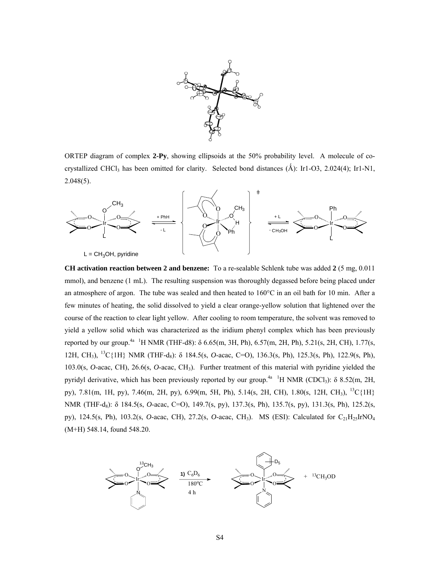

ORTEP diagram of complex **2-Py**, showing ellipsoids at the 50% probability level. A molecule of cocrystallized CHCl<sub>3</sub> has been omitted for clarity. Selected bond distances ( $\AA$ ): Ir1-O3, 2.024(4); Ir1-N1, 2.048(5).



**CH activation reaction between 2 and benzene:** To a re-sealable Schlenk tube was added **2** (5 mg, 0.011 mmol), and benzene (1 mL). The resulting suspension was thoroughly degassed before being placed under an atmosphere of argon. The tube was sealed and then heated to  $160^{\circ}$ C in an oil bath for 10 min. After a few minutes of heating, the solid dissolved to yield a clear orange-yellow solution that lightened over the course of the reaction to clear light yellow. After cooling to room temperature, the solvent was removed to yield a yellow solid which was characterized as the iridium phenyl complex which has been previously reported by our group.<sup>4a</sup> <sup>1</sup>H NMR (THF-d8):  $\delta$  6.65(m, 3H, Ph), 6.57(m, 2H, Ph), 5.21(s, 2H, CH), 1.77(s, 12H, CH<sub>3</sub>), <sup>13</sup>C{1H} NMR (THF-d<sub>8</sub>): δ 184.5(s, *O*-acac, C=O), 136.3(s, Ph), 125.3(s, Ph), 122.9(s, Ph), 103.0(s, *O*-acac, CH), 26.6(s, *O*-acac, CH3). Further treatment of this material with pyridine yielded the pyridyl derivative, which has been previously reported by our group.<sup>4a</sup> <sup>1</sup>H NMR (CDCl<sub>3</sub>):  $\delta$  8.52(m, 2H, py), 7.81(m, 1H, py), 7.46(m, 2H, py), 6.99(m, 5H, Ph), 5.14(s, 2H, CH), 1.80(s, 12H, CH<sub>3</sub>), <sup>13</sup>C{1H} NMR (THF-d<sub>8</sub>): δ 184.5(s, *O*-acac, C=O), 149.7(s, py), 137.3(s, Ph), 135.7(s, py), 131.3(s, Ph), 125.2(s, py), 124.5(s, Ph), 103.2(s, *O*-acac, CH), 27.2(s, *O*-acac, CH3). MS (ESI): Calculated for C21H25IrNO4 (M+H) 548.14, found 548.20.

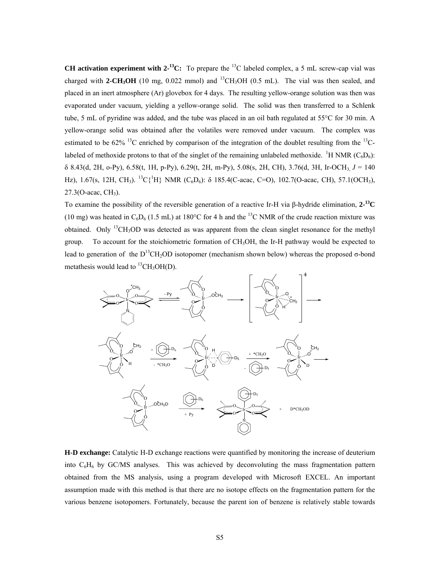**CH activation experiment with**  $2^{-13}C$ **:** To prepare the <sup>13</sup>C labeled complex, a 5 mL screw-cap vial was charged with **2-CH<sub>3</sub>OH** (10 mg, 0.022 mmol) and <sup>13</sup>CH<sub>3</sub>OH (0.5 mL). The vial was then sealed, and placed in an inert atmosphere (Ar) glovebox for 4 days. The resulting yellow-orange solution was then was evaporated under vacuum, yielding a yellow-orange solid. The solid was then transferred to a Schlenk tube, 5 mL of pyridine was added, and the tube was placed in an oil bath regulated at 55°C for 30 min. A yellow-orange solid was obtained after the volatiles were removed under vacuum. The complex was estimated to be  $62\%$  <sup>13</sup>C enriched by comparison of the integration of the doublet resulting from the <sup>13</sup>Clabeled of methoxide protons to that of the singlet of the remaining unlabeled methoxide. <sup>1</sup>H NMR ( $C_6D_6$ ):  $\delta$  8.43(d, 2H, o-Py), 6.58(t, 1H, p-Py), 6.29(t, 2H, m-Py), 5.08(s, 2H, CH), 3.76(d, 3H, Ir-OCH<sub>3</sub>, *J* = 140 Hz), 1.67(s, 12H, CH<sub>3</sub>). <sup>13</sup>C{<sup>1</sup>H} NMR (C<sub>6</sub>D<sub>6</sub>): δ 185.4(C-acac, C=O), 102.7(O-acac, CH), 57.1(OCH<sub>3</sub>),  $27.3(O$ -acac,  $CH<sub>3</sub>$ ).

To examine the possibility of the reversible generation of a reactive Ir-H via β-hydride elimination, **2-13C**  (10 mg) was heated in  $C_6D_6$  (1.5 mL) at 180°C for 4 h and the <sup>13</sup>C NMR of the crude reaction mixture was obtained. Only  ${}^{13}CH_3OD$  was detected as was apparent from the clean singlet resonance for the methyl group. To account for the stoichiometric formation of CH<sub>3</sub>OH, the Ir-H pathway would be expected to lead to generation of the D<sup>13</sup>CH<sub>2</sub>OD isotopomer (mechanism shown below) whereas the proposed σ-bond metathesis would lead to  ${}^{13}CH_3OH(D)$ .



**H-D exchange:** Catalytic H-D exchange reactions were quantified by monitoring the increase of deuterium into  $C_6H_6$  by GC/MS analyses. This was achieved by deconvoluting the mass fragmentation pattern obtained from the MS analysis, using a program developed with Microsoft EXCEL. An important assumption made with this method is that there are no isotope effects on the fragmentation pattern for the various benzene isotopomers. Fortunately, because the parent ion of benzene is relatively stable towards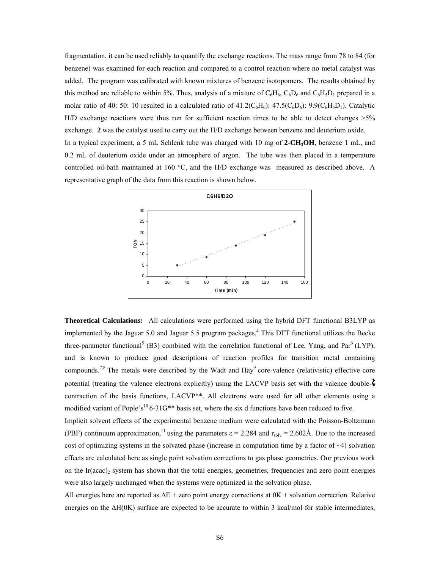fragmentation, it can be used reliably to quantify the exchange reactions. The mass range from 78 to 84 (for benzene) was examined for each reaction and compared to a control reaction where no metal catalyst was added. The program was calibrated with known mixtures of benzene isotopomers. The results obtained by this method are reliable to within 5%. Thus, analysis of a mixture of  $C_6H_6$ ,  $C_6D_6$  and  $C_6H_5D_1$  prepared in a molar ratio of 40: 50: 10 resulted in a calculated ratio of  $41.2(C_6H_6)$ :  $47.5(C_6D_6)$ :  $9.9(C_6H_5D_1)$ . Catalytic H/D exchange reactions were thus run for sufficient reaction times to be able to detect changes >5% exchange. **2** was the catalyst used to carry out the H/D exchange between benzene and deuterium oxide. In a typical experiment, a 5 mL Schlenk tube was charged with 10 mg of **2-CH3OH**, benzene 1 mL, and 0.2 mL of deuterium oxide under an atmosphere of argon. The tube was then placed in a temperature controlled oil-bath maintained at 160  $^{\circ}$ C, and the H/D exchange was measured as described above. A representative graph of the data from this reaction is shown below.



**Theoretical Calculations:** All calculations were performed using the hybrid DFT functional B3LYP as implemented by the Jaguar 5.0 and Jaguar 5.5 program packages.<sup>4</sup> This DFT functional utilizes the Becke three-parameter functional<sup>5</sup> (B3) combined with the correlation functional of Lee, Yang, and Par<sup>6</sup> (LYP), and is known to produce good descriptions of reaction profiles for transition metal containing compounds.<sup>7,8</sup> The metals were described by the Wadt and Hay<sup>9</sup> core-valence (relativistic) effective core potential (treating the valence electrons explicitly) using the LACVP basis set with the valence doublecontraction of the basis functions, LACVP<sup>\*\*</sup>. All electrons were used for all other elements using a modified variant of Pople's<sup>10</sup> 6-31G<sup>\*\*</sup> basis set, where the six d functions have been reduced to five.

Implicit solvent effects of the experimental benzene medium were calculated with the Poisson-Boltzmann (PBF) continuum approximation,<sup>11</sup> using the parameters  $\epsilon = 2.284$  and  $r_{solv} = 2.602$ Å. Due to the increased cost of optimizing systems in the solvated phase (increase in computation time by a factor of  $\sim$ 4) solvation effects are calculated here as single point solvation corrections to gas phase geometries. Our previous work on the Ir(acac)<sub>2</sub> system has shown that the total energies, geometries, frequencies and zero point energies were also largely unchanged when the systems were optimized in the solvation phase.

All energies here are reported as ∆E + zero point energy corrections at 0K + solvation correction. Relative energies on the ∆H(0K) surface are expected to be accurate to within 3 kcal/mol for stable intermediates,